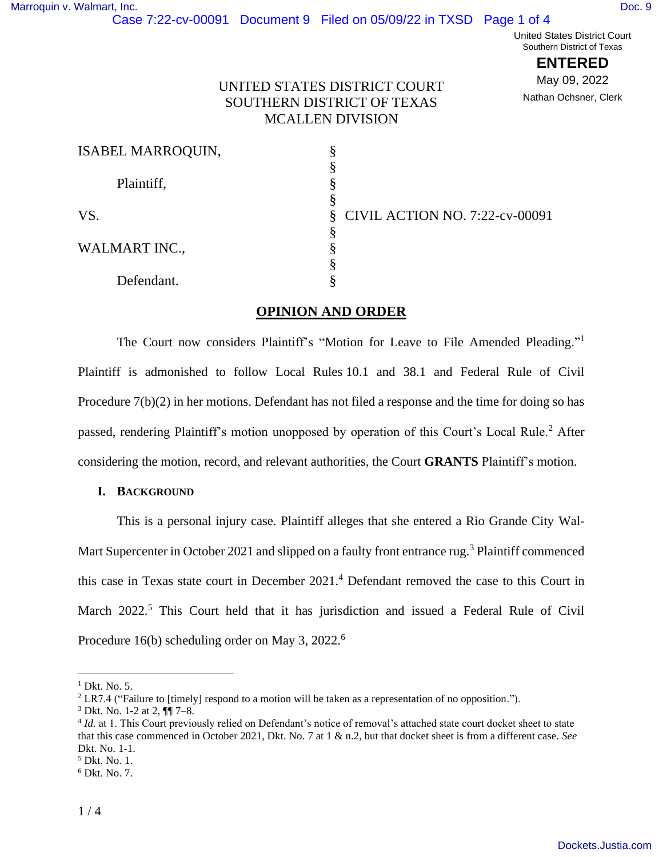# Case 7:22-cv-00091 Document 9 Filed on 05/09/22 in TXSD Page 1 of 4

United States District Court Southern District of Texas

**ENTERED**

May 09, 2022 Nathan Ochsner, Clerk

## UNITED STATES DISTRICT COURT SOUTHERN DISTRICT OF TEXAS MCALLEN DIVISION

| <b>ISABEL MARROQUIN,</b> |                                  |
|--------------------------|----------------------------------|
|                          |                                  |
| Plaintiff,               |                                  |
|                          |                                  |
| VS.                      | § CIVIL ACTION NO. 7:22-cv-00091 |
|                          |                                  |
| <b>WALMART INC.,</b>     |                                  |
|                          |                                  |
| Defendant.               |                                  |

## <span id="page-0-0"></span>**OPINION AND ORDER**

The Court now considers Plaintiff's "Motion for Leave to File Amended Pleading."<sup>1</sup> Plaintiff is admonished to follow Local Rules 10.1 and 38.1 and Federal Rule of Civil Procedure 7(b)(2) in her motions. Defendant has not filed a response and the time for doing so has passed, rendering Plaintiff's motion unopposed by operation of this Court's Local Rule.<sup>2</sup> After considering the motion, record, and relevant authorities, the Court **GRANTS** Plaintiff's motion.

### **I. BACKGROUND**

This is a personal injury case. Plaintiff alleges that she entered a Rio Grande City Wal-Mart Supercenter in October 2021 and slipped on a faulty front entrance rug.<sup>3</sup> Plaintiff commenced this case in Texas state court in December 2021.<sup>4</sup> Defendant removed the case to this Court in March 2022.<sup>5</sup> This Court held that it has jurisdiction and issued a Federal Rule of Civil Procedure 16(b) scheduling order on May 3, 2022.<sup>6</sup>

 $<sup>1</sup>$  Dkt. No. 5.</sup>

<sup>&</sup>lt;sup>2</sup> LR7.4 ("Failure to [timely] respond to a motion will be taken as a representation of no opposition.").

<sup>3</sup> Dkt. No. 1-2 at 2, ¶¶ 7–8.

<sup>&</sup>lt;sup>4</sup> Id. at 1. This Court previously relied on Defendant's notice of removal's attached state court docket sheet to state that this case commenced in October 2021, Dkt. No. 7 at 1 & n.2, but that docket sheet is from a different case. *See* Dkt. No. 1-1.

<sup>5</sup> Dkt. No. 1.

<sup>6</sup> Dkt. No. 7.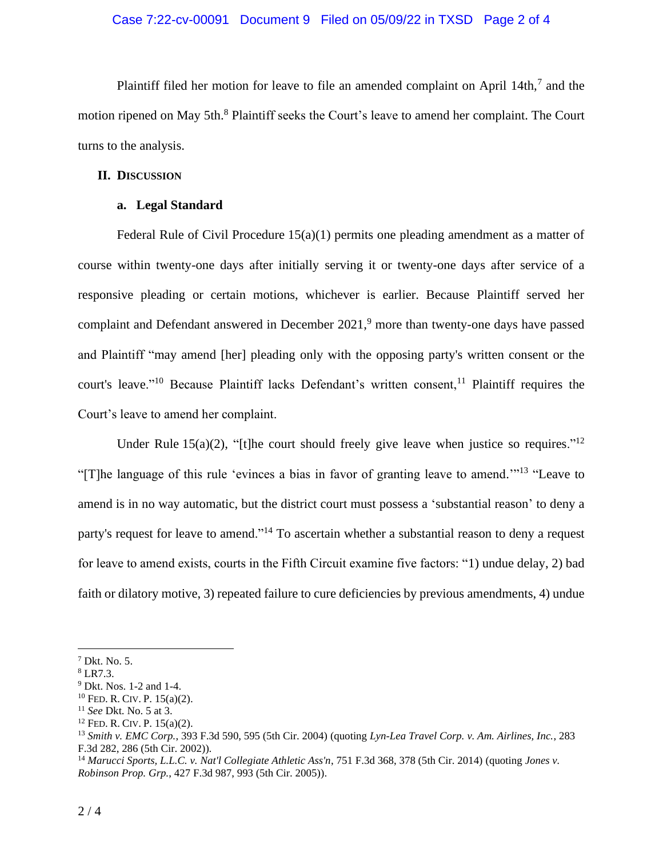#### Case 7:22-cv-00091 Document 9 Filed on 05/09/22 in TXSD Page 2 of 4

Plaintiff filed her motion for leave to file an amended complaint on April  $14th$ ,  $7$  and the motion ripened on May 5th.<sup>8</sup> Plaintiff seeks the Court's leave to amend her complaint. The Court turns to the analysis.

#### **II. DISCUSSION**

#### **a. Legal Standard**

Federal Rule of Civil Procedure  $15(a)(1)$  permits one pleading amendment as a matter of course within twenty-one days after initially serving it or twenty-one days after service of a responsive pleading or certain motions, whichever is earlier. Because Plaintiff served her complaint and Defendant answered in December 2021,<sup>9</sup> more than twenty-one days have passed and Plaintiff "may amend [her] pleading only with the opposing party's written consent or the court's leave."<sup>10</sup> Because Plaintiff lacks Defendant's written consent,<sup>11</sup> Plaintiff requires the Court's leave to amend her complaint.

Under Rule  $15(a)(2)$ , "[t]he court should freely give leave when justice so requires."<sup>12</sup> "[T]he language of this rule 'evinces a bias in favor of granting leave to amend."<sup>13</sup> "Leave to amend is in no way automatic, but the district court must possess a 'substantial reason' to deny a party's request for leave to amend."<sup>14</sup> To ascertain whether a substantial reason to deny a request for leave to amend exists, courts in the Fifth Circuit examine five factors: "1) undue delay, 2) bad faith or dilatory motive, 3) repeated failure to cure deficiencies by previous amendments, 4) undue

<sup>7</sup> Dkt. No. 5.

<sup>8</sup> LR7.3.

<sup>9</sup> Dkt. Nos. 1-2 and 1-4.

<sup>10</sup> FED. R. CIV. P. 15(a)(2).

<sup>11</sup> *See* Dkt. No. 5 at 3.

 $12$  FED. R. CIV. P. 15(a)(2).

<sup>13</sup> *Smith v. EMC Corp.*, 393 F.3d 590, 595 (5th Cir. 2004) (quoting *Lyn-Lea Travel Corp. v. Am. Airlines, Inc.*, 283 F.3d 282, 286 (5th Cir. 2002)).

<sup>14</sup> *Marucci Sports, L.L.C. v. Nat'l Collegiate Athletic Ass'n*, 751 F.3d 368, 378 (5th Cir. 2014) (quoting *Jones v. Robinson Prop. Grp.*, 427 F.3d 987, 993 (5th Cir. 2005)).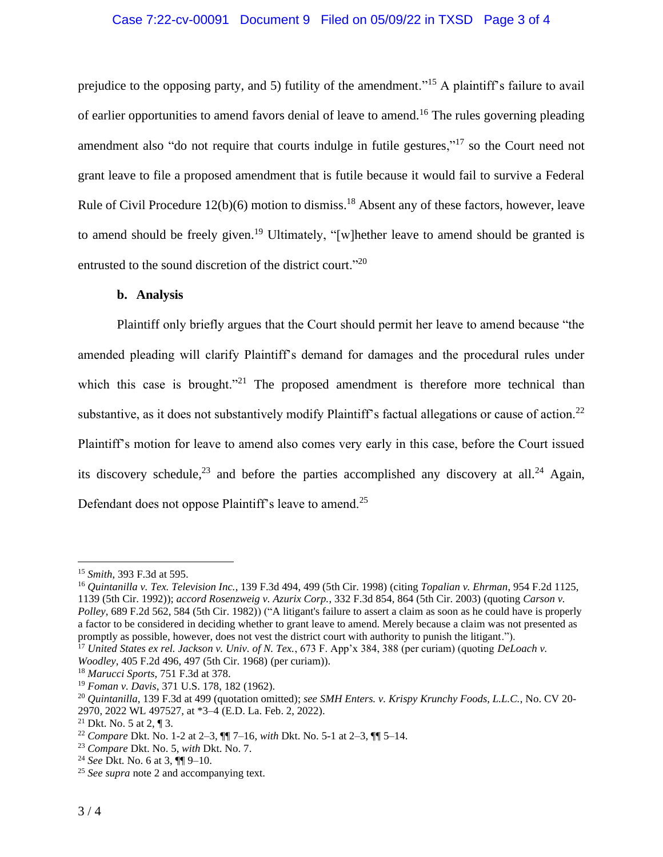## Case 7:22-cv-00091 Document 9 Filed on 05/09/22 in TXSD Page 3 of 4

prejudice to the opposing party, and 5) futility of the amendment."<sup>15</sup> A plaintiff's failure to avail of earlier opportunities to amend favors denial of leave to amend.<sup>16</sup> The rules governing pleading amendment also "do not require that courts indulge in futile gestures,"<sup>17</sup> so the Court need not grant leave to file a proposed amendment that is futile because it would fail to survive a Federal Rule of Civil Procedure  $12(b)(6)$  motion to dismiss.<sup>18</sup> Absent any of these factors, however, leave to amend should be freely given.<sup>19</sup> Ultimately, "[w]hether leave to amend should be granted is entrusted to the sound discretion of the district court."<sup>20</sup>

#### **b. Analysis**

Plaintiff only briefly argues that the Court should permit her leave to amend because "the amended pleading will clarify Plaintiff's demand for damages and the procedural rules under which this case is brought."<sup>21</sup> The proposed amendment is therefore more technical than substantive, as it does not substantively modify Plaintiff's factual allegations or cause of action.<sup>22</sup> Plaintiff's motion for leave to amend also comes very early in this case, before the Court issued its discovery schedule,  $^{23}$  and before the parties accomplished any discovery at all. <sup>24</sup> Again, Defendant does not oppose Plaintiff's leave to amend.<sup>25</sup>

<sup>15</sup> *Smith*, 393 F.3d at 595.

<sup>16</sup> *Quintanilla v. Tex. Television Inc.*, 139 F.3d 494, 499 (5th Cir. 1998) (citing *Topalian v. Ehrman*, 954 F.2d 1125, 1139 (5th Cir. 1992)); *accord Rosenzweig v. Azurix Corp.*, 332 F.3d 854, 864 (5th Cir. 2003) (quoting *Carson v. Polley*, 689 F.2d 562, 584 (5th Cir. 1982)) ("A litigant's failure to assert a claim as soon as he could have is properly

a factor to be considered in deciding whether to grant leave to amend. Merely because a claim was not presented as promptly as possible, however, does not vest the district court with authority to punish the litigant.").

<sup>17</sup> *United States ex rel. Jackson v. Univ. of N. Tex.*, 673 F. App'x 384, 388 (per curiam) (quoting *DeLoach v. Woodley*, 405 F.2d 496, 497 (5th Cir. 1968) (per curiam)).

<sup>18</sup> *Marucci Sports*, 751 F.3d at 378.

<sup>19</sup> *Foman v. Davis*, 371 U.S. 178, 182 (1962).

<sup>20</sup> *Quintanilla*, 139 F.3d at 499 (quotation omitted); *see SMH Enters. v. Krispy Krunchy Foods, L.L.C.*, No. CV 20- 2970, 2022 WL 497527, at \*3–4 (E.D. La. Feb. 2, 2022).

<sup>&</sup>lt;sup>21</sup> Dkt. No. 5 at 2, ¶ 3.

<sup>22</sup> *Compare* Dkt. No. 1-2 at 2–3, ¶¶ 7–16, *with* Dkt. No. 5-1 at 2–3, ¶¶ 5–14.

<sup>23</sup> *Compare* Dkt. No. 5, *with* Dkt. No. 7.

<sup>24</sup> *See* Dkt. No. 6 at 3, ¶¶ 9–10.

<sup>25</sup> *See supra* note [2](#page-0-0) and accompanying text.